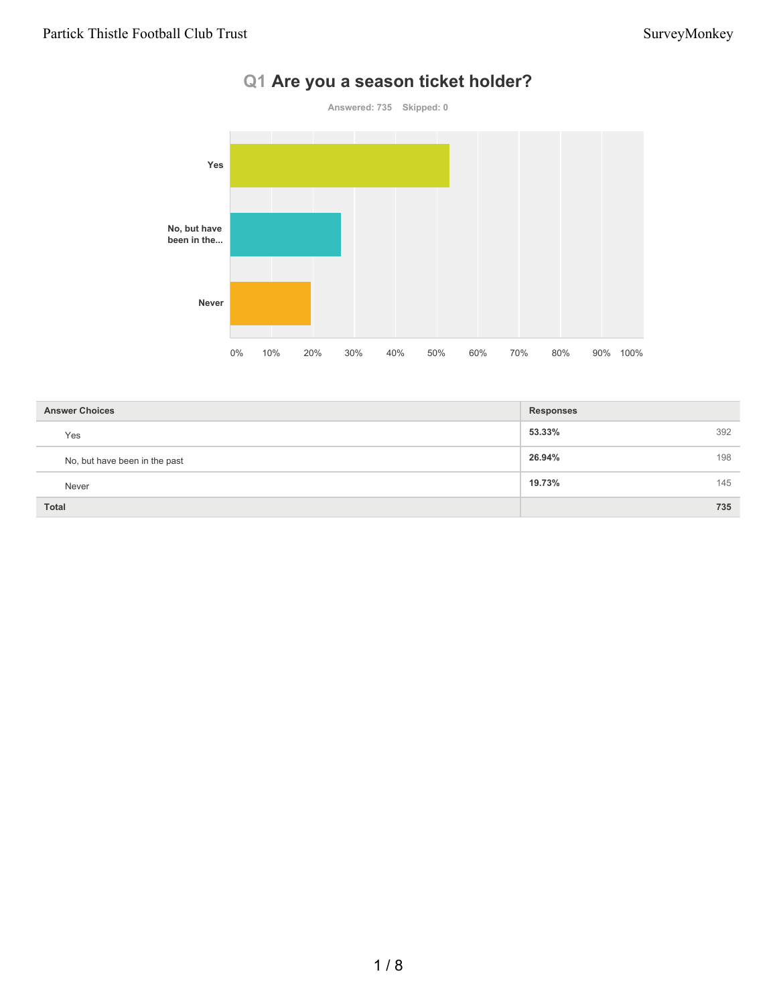# **Q1 Are you a season ticket holder?**



| <b>Answer Choices</b>         | <b>Responses</b> |
|-------------------------------|------------------|
| Yes                           | 392<br>53.33%    |
| No, but have been in the past | 198<br>26.94%    |
| Never                         | 145<br>19.73%    |
| <b>Total</b>                  | 735              |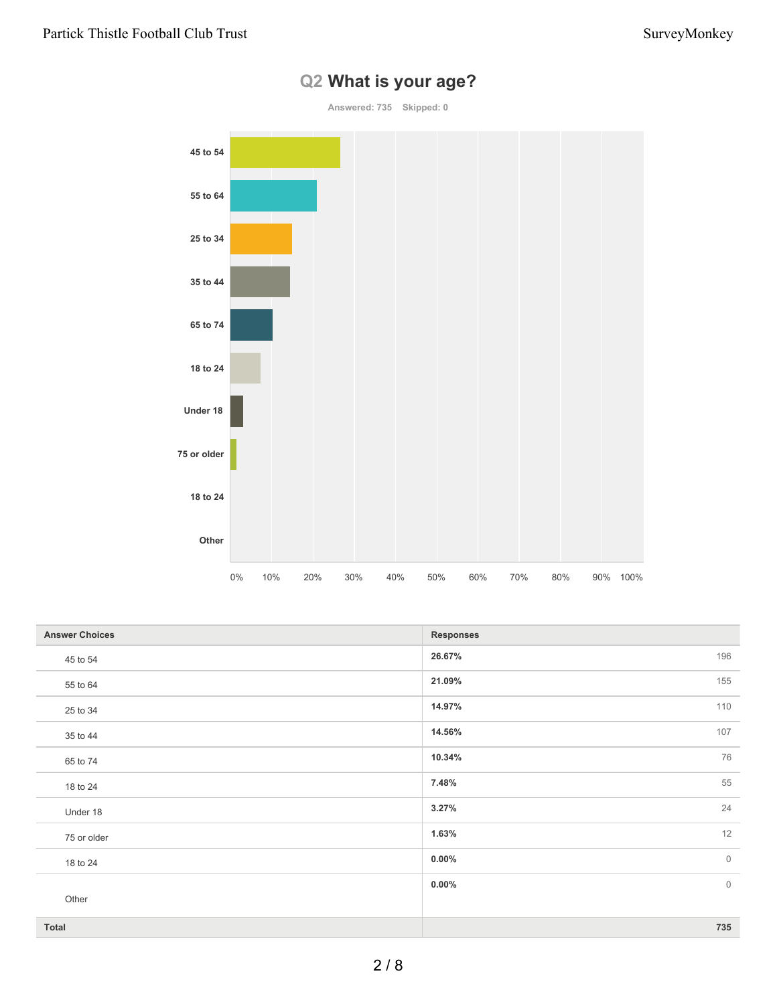

# **Q2 What is your age?**

| <b>Answer Choices</b> | <b>Responses</b> |         |
|-----------------------|------------------|---------|
| 45 to 54              | 26.67%           | 196     |
| 55 to 64              | 21.09%           | 155     |
| 25 to 34              | 14.97%           | 110     |
| 35 to 44              | 14.56%           | 107     |
| 65 to 74              | 10.34%           | 76      |
| 18 to 24              | 7.48%            | 55      |
| Under 18              | 3.27%            | 24      |
| 75 or older           | 1.63%            | 12      |
| 18 to 24              | $0.00\%$         | $\circ$ |
|                       | $0.00\%$         | $\circ$ |
| Other                 |                  |         |
| Total                 |                  | 735     |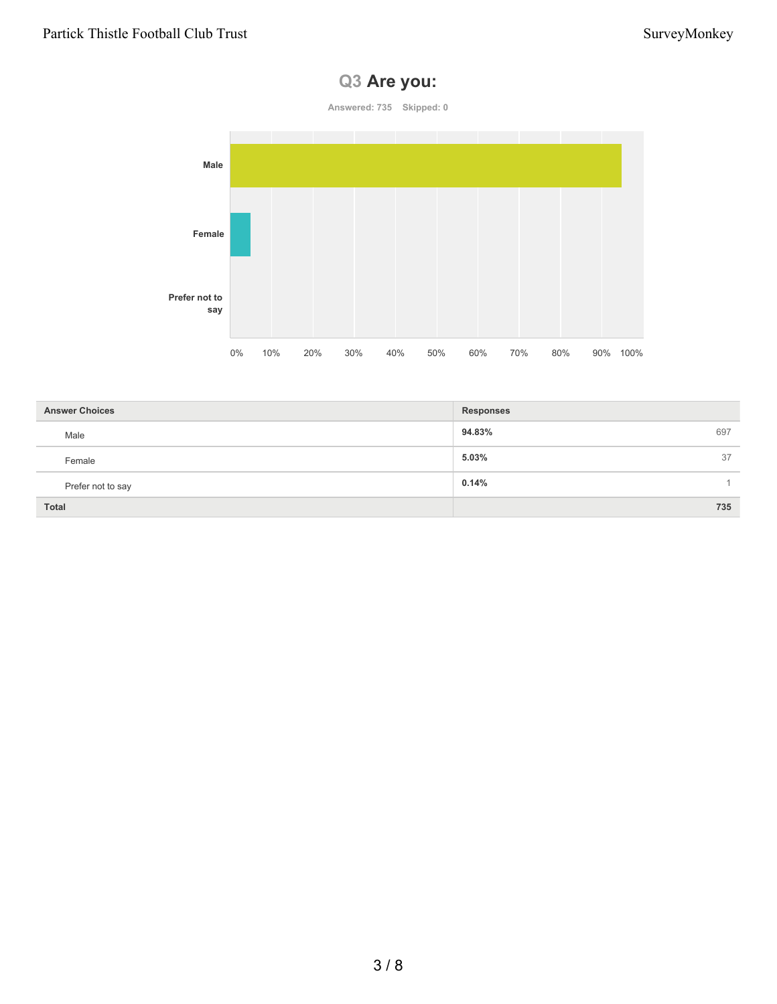# **Q3 Are you:**

**Answered: 735 Skipped: 0**



| <b>Answer Choices</b> | <b>Responses</b> |
|-----------------------|------------------|
| Male                  | 94.83%<br>697    |
| Female                | 5.03%<br>37      |
| Prefer not to say     | 0.14%            |
| <b>Total</b>          | 735              |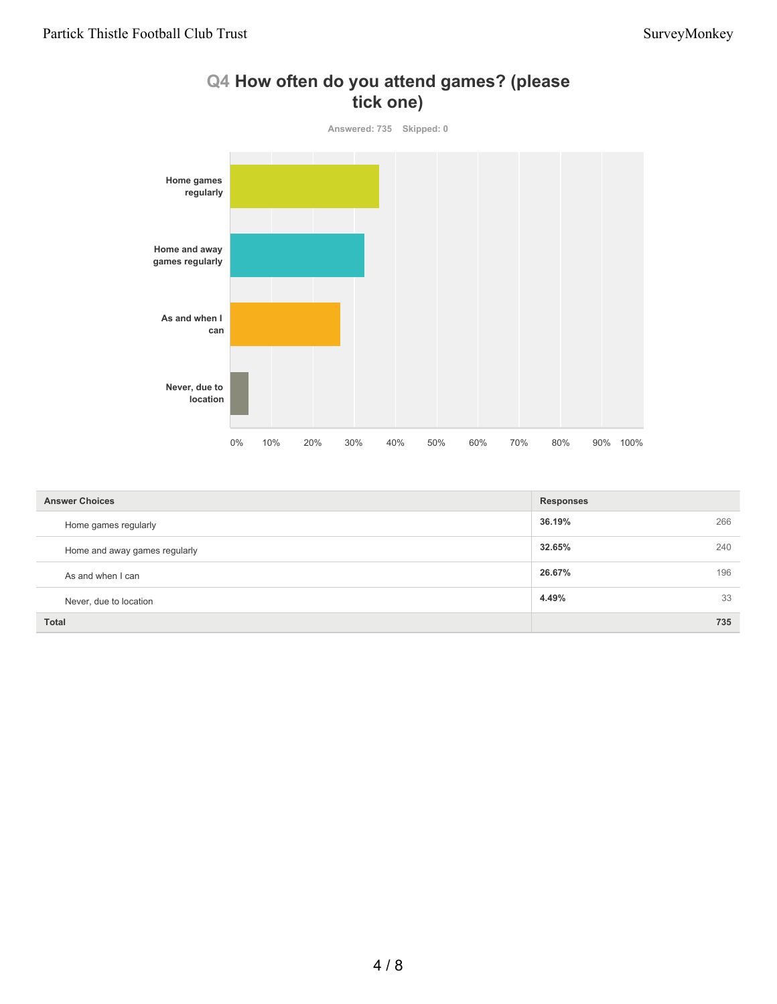

#### **Q4 How often do you attend games? (please tick one)**

| <b>Answer Choices</b>         | <b>Responses</b> |     |
|-------------------------------|------------------|-----|
| Home games regularly          | 36.19%           | 266 |
| Home and away games regularly | 32.65%           | 240 |
| As and when I can             | 26.67%           | 196 |
| Never, due to location        | 4.49%            | 33  |
| <b>Total</b>                  |                  | 735 |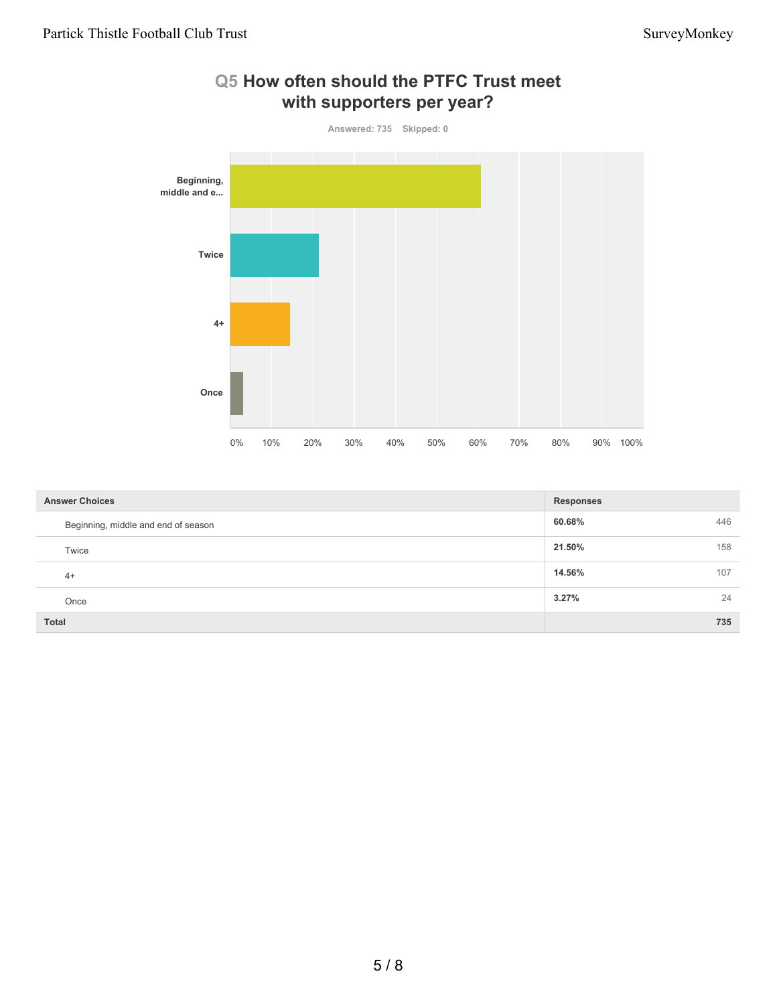

#### **Q5 How often should the PTFC Trust meet with supporters per year?**

| <b>Answer Choices</b>               | <b>Responses</b> |     |
|-------------------------------------|------------------|-----|
| Beginning, middle and end of season | 60.68%           | 446 |
| Twice                               | 21.50%           | 158 |
| $4+$                                | 14.56%           | 107 |
| Once                                | 3.27%            | 24  |
| <b>Total</b>                        |                  | 735 |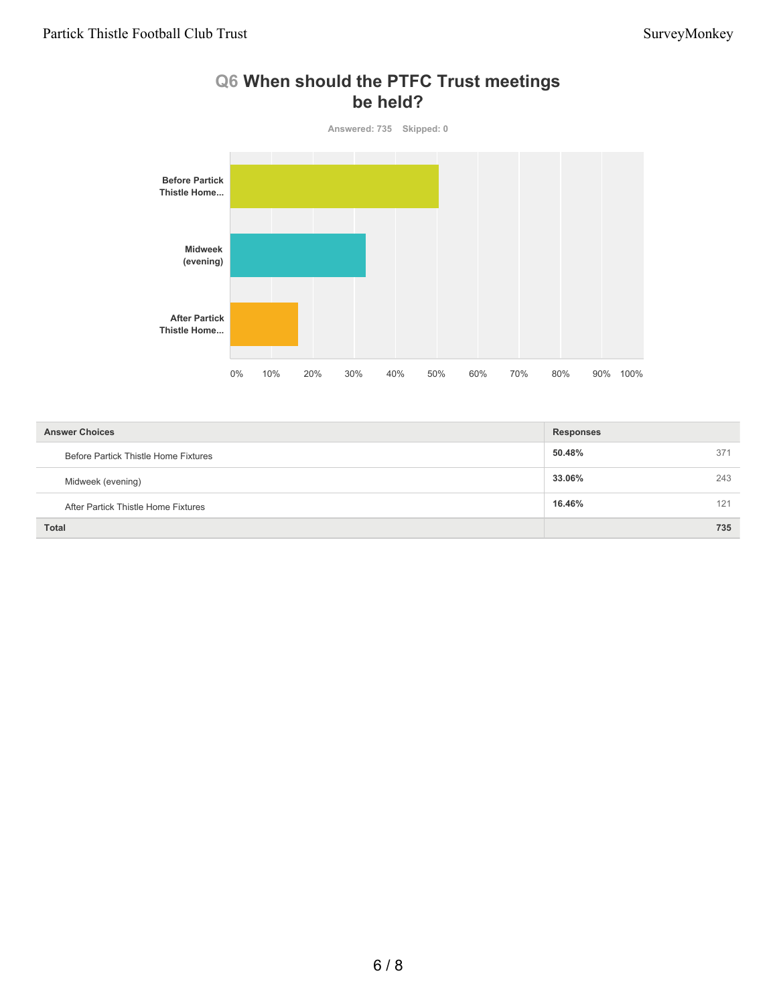### **Q6 When should the PTFC Trust meetings be held?**



| <b>Answer Choices</b>                | <b>Responses</b> |     |
|--------------------------------------|------------------|-----|
| Before Partick Thistle Home Fixtures | 50.48%           | 371 |
| Midweek (evening)                    | 33.06%           | 243 |
| After Partick Thistle Home Fixtures  | 16.46%           | 121 |
| <b>Total</b>                         |                  | 735 |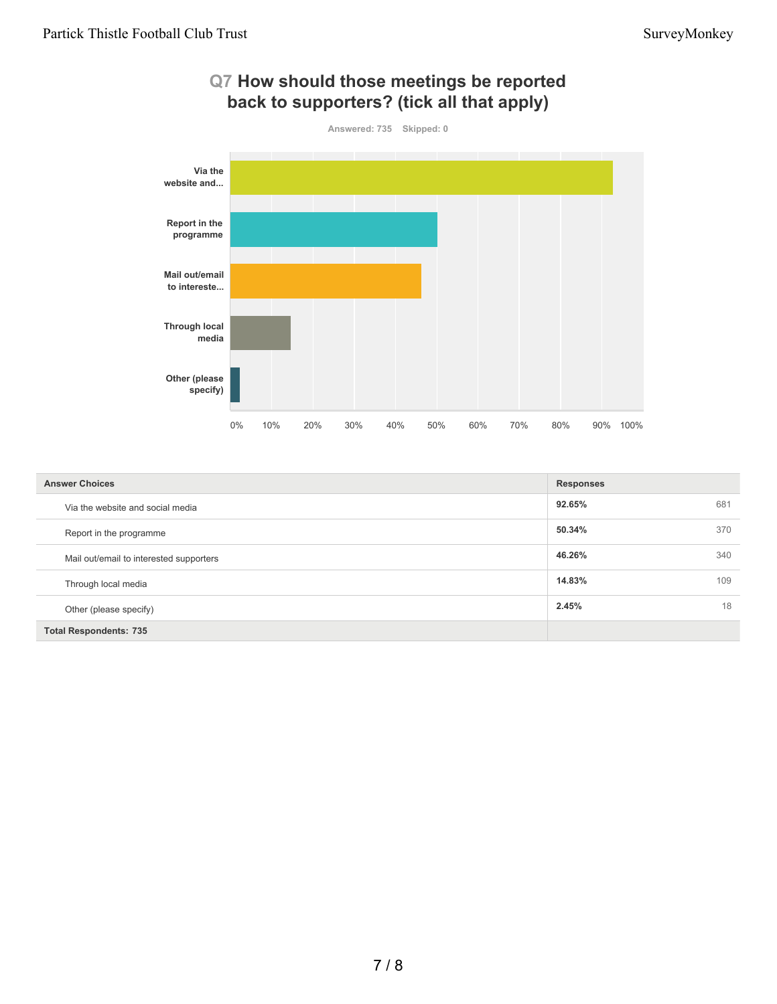

| <b>Answer Choices</b>                   | <b>Responses</b> |     |
|-----------------------------------------|------------------|-----|
| Via the website and social media        | 92.65%           | 681 |
| Report in the programme                 | 50.34%           | 370 |
| Mail out/email to interested supporters | 46.26%           | 340 |
| Through local media                     | 14.83%           | 109 |
| Other (please specify)                  | 2.45%            | 18  |
| <b>Total Respondents: 735</b>           |                  |     |

# **Q7 How should those meetings be reported**